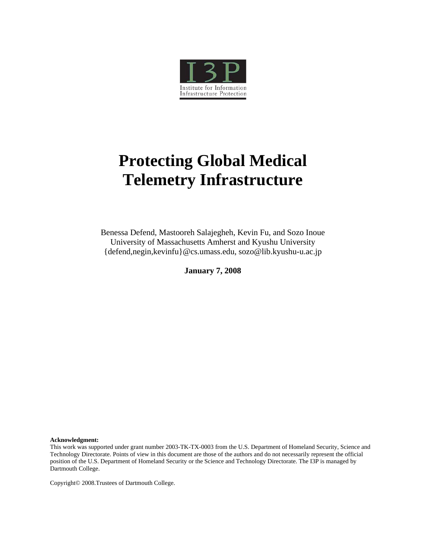

# **Protecting Global Medical Telemetry Infrastructure**

Benessa Defend, Mastooreh Salajegheh, Kevin Fu, and Sozo Inoue University of Massachusetts Amherst and Kyushu University {defend,negin,kevinfu}@cs.umass.edu, sozo@lib.kyushu-u.ac.jp

**January 7, 2008** 

**Acknowledgment:** 

This work was supported under grant number 2003-TK-TX-0003 from the U.S. Department of Homeland Security, Science and Technology Directorate. Points of view in this document are those of the authors and do not necessarily represent the official position of the U.S. Department of Homeland Security or the Science and Technology Directorate. The I3P is managed by Dartmouth College.

Copyright© 2008.Trustees of Dartmouth College.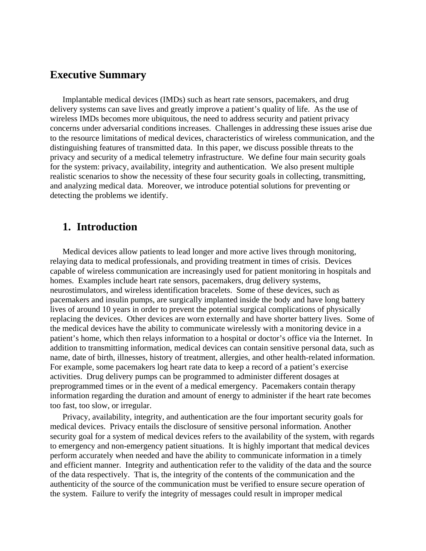## **Executive Summary**

Implantable medical devices (IMDs) such as heart rate sensors, pacemakers, and drug delivery systems can save lives and greatly improve a patient's quality of life. As the use of wireless IMDs becomes more ubiquitous, the need to address security and patient privacy concerns under adversarial conditions increases. Challenges in addressing these issues arise due to the resource limitations of medical devices, characteristics of wireless communication, and the distinguishing features of transmitted data. In this paper, we discuss possible threats to the privacy and security of a medical telemetry infrastructure. We define four main security goals for the system: privacy, availability, integrity and authentication. We also present multiple realistic scenarios to show the necessity of these four security goals in collecting, transmitting, and analyzing medical data. Moreover, we introduce potential solutions for preventing or detecting the problems we identify.

## **1. Introduction**

Medical devices allow patients to lead longer and more active lives through monitoring, relaying data to medical professionals, and providing treatment in times of crisis. Devices capable of wireless communication are increasingly used for patient monitoring in hospitals and homes. Examples include heart rate sensors, pacemakers, drug delivery systems, neurostimulators, and wireless identification bracelets. Some of these devices, such as pacemakers and insulin pumps, are surgically implanted inside the body and have long battery lives of around 10 years in order to prevent the potential surgical complications of physically replacing the devices. Other devices are worn externally and have shorter battery lives. Some of the medical devices have the ability to communicate wirelessly with a monitoring device in a patient's home, which then relays information to a hospital or doctor's office via the Internet. In addition to transmitting information, medical devices can contain sensitive personal data, such as name, date of birth, illnesses, history of treatment, allergies, and other health-related information. For example, some pacemakers log heart rate data to keep a record of a patient's exercise activities. Drug delivery pumps can be programmed to administer different dosages at preprogrammed times or in the event of a medical emergency. Pacemakers contain therapy information regarding the duration and amount of energy to administer if the heart rate becomes too fast, too slow, or irregular.

Privacy, availability, integrity, and authentication are the four important security goals for medical devices. Privacy entails the disclosure of sensitive personal information. Another security goal for a system of medical devices refers to the availability of the system, with regards to emergency and non-emergency patient situations. It is highly important that medical devices perform accurately when needed and have the ability to communicate information in a timely and efficient manner. Integrity and authentication refer to the validity of the data and the source of the data respectively. That is, the integrity of the contents of the communication and the authenticity of the source of the communication must be verified to ensure secure operation of the system. Failure to verify the integrity of messages could result in improper medical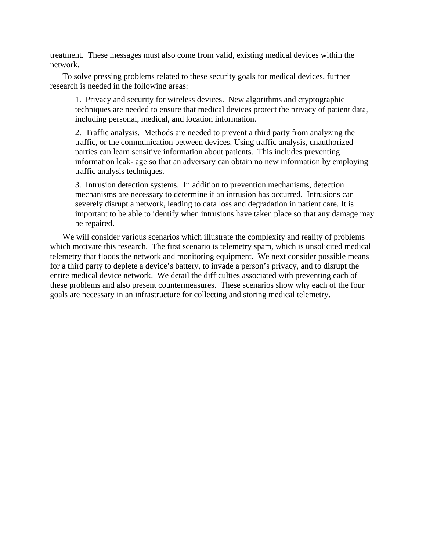treatment. These messages must also come from valid, existing medical devices within the network.

To solve pressing problems related to these security goals for medical devices, further research is needed in the following areas:

1. Privacy and security for wireless devices. New algorithms and cryptographic techniques are needed to ensure that medical devices protect the privacy of patient data, including personal, medical, and location information.

2. Traffic analysis. Methods are needed to prevent a third party from analyzing the traffic, or the communication between devices. Using traffic analysis, unauthorized parties can learn sensitive information about patients. This includes preventing information leak- age so that an adversary can obtain no new information by employing traffic analysis techniques.

3. Intrusion detection systems. In addition to prevention mechanisms, detection mechanisms are necessary to determine if an intrusion has occurred. Intrusions can severely disrupt a network, leading to data loss and degradation in patient care. It is important to be able to identify when intrusions have taken place so that any damage may be repaired.

We will consider various scenarios which illustrate the complexity and reality of problems which motivate this research. The first scenario is telemetry spam, which is unsolicited medical telemetry that floods the network and monitoring equipment. We next consider possible means for a third party to deplete a device's battery, to invade a person's privacy, and to disrupt the entire medical device network. We detail the difficulties associated with preventing each of these problems and also present countermeasures. These scenarios show why each of the four goals are necessary in an infrastructure for collecting and storing medical telemetry.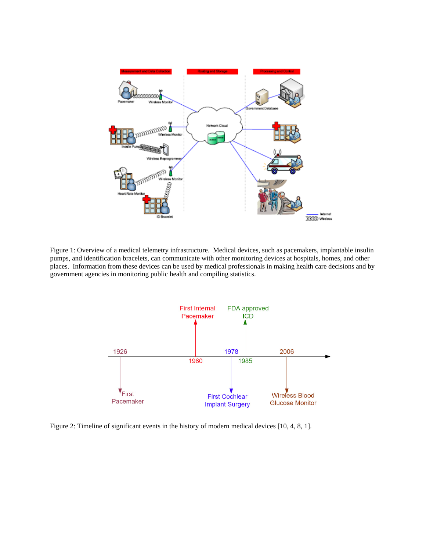

Figure 1: Overview of a medical telemetry infrastructure. Medical devices, such as pacemakers, implantable insulin pumps, and identification bracelets, can communicate with other monitoring devices at hospitals, homes, and other places. Information from these devices can be used by medical professionals in making health care decisions and by government agencies in monitoring public health and compiling statistics.



Figure 2: Timeline of significant events in the history of modern medical devices [10, 4, 8, 1].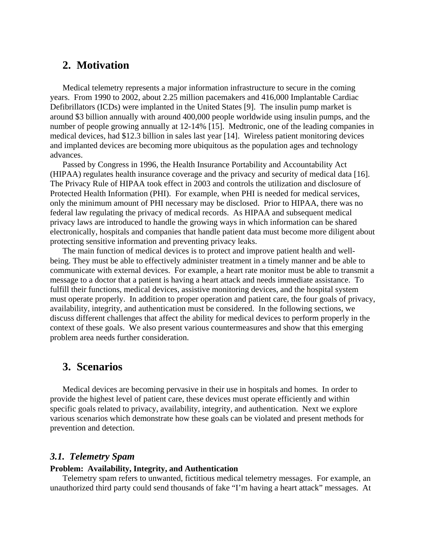## **2. Motivation**

Medical telemetry represents a major information infrastructure to secure in the coming years. From 1990 to 2002, about 2.25 million pacemakers and 416,000 Implantable Cardiac Defibrillators (ICDs) were implanted in the United States [9]. The insulin pump market is around \$3 billion annually with around 400,000 people worldwide using insulin pumps, and the number of people growing annually at 12-14% [15]. Medtronic, one of the leading companies in medical devices, had \$12.3 billion in sales last year [14]. Wireless patient monitoring devices and implanted devices are becoming more ubiquitous as the population ages and technology advances.

Passed by Congress in 1996, the Health Insurance Portability and Accountability Act (HIPAA) regulates health insurance coverage and the privacy and security of medical data [16]. The Privacy Rule of HIPAA took effect in 2003 and controls the utilization and disclosure of Protected Health Information (PHI). For example, when PHI is needed for medical services, only the minimum amount of PHI necessary may be disclosed. Prior to HIPAA, there was no federal law regulating the privacy of medical records. As HIPAA and subsequent medical privacy laws are introduced to handle the growing ways in which information can be shared electronically, hospitals and companies that handle patient data must become more diligent about protecting sensitive information and preventing privacy leaks.

The main function of medical devices is to protect and improve patient health and wellbeing. They must be able to effectively administer treatment in a timely manner and be able to communicate with external devices. For example, a heart rate monitor must be able to transmit a message to a doctor that a patient is having a heart attack and needs immediate assistance. To fulfill their functions, medical devices, assistive monitoring devices, and the hospital system must operate properly. In addition to proper operation and patient care, the four goals of privacy, availability, integrity, and authentication must be considered. In the following sections, we discuss different challenges that affect the ability for medical devices to perform properly in the context of these goals. We also present various countermeasures and show that this emerging problem area needs further consideration.

## **3. Scenarios**

Medical devices are becoming pervasive in their use in hospitals and homes. In order to provide the highest level of patient care, these devices must operate efficiently and within specific goals related to privacy, availability, integrity, and authentication. Next we explore various scenarios which demonstrate how these goals can be violated and present methods for prevention and detection.

### *3.1. Telemetry Spam*

#### **Problem: Availability, Integrity, and Authentication**

Telemetry spam refers to unwanted, fictitious medical telemetry messages. For example, an unauthorized third party could send thousands of fake "I'm having a heart attack" messages. At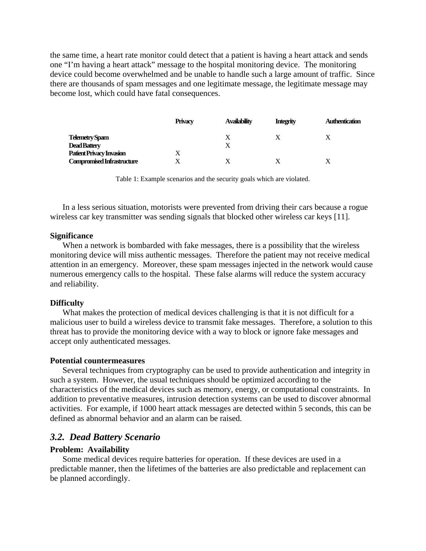the same time, a heart rate monitor could detect that a patient is having a heart attack and sends one "I'm having a heart attack" message to the hospital monitoring device. The monitoring device could become overwhelmed and be unable to handle such a large amount of traffic. Since there are thousands of spam messages and one legitimate message, the legitimate message may become lost, which could have fatal consequences.

|                                   | <b>Privacy</b> | <b>Availability</b> | <b>Integrity</b> | <b>Authentication</b> |
|-----------------------------------|----------------|---------------------|------------------|-----------------------|
| Telemetry Spam                    |                | X                   |                  |                       |
| <b>Dead Battery</b>               |                |                     |                  |                       |
| Patient Privacy Invasion          |                |                     |                  |                       |
| <b>Compromised Infrastructure</b> |                |                     |                  |                       |

Table 1: Example scenarios and the security goals which are violated.

In a less serious situation, motorists were prevented from driving their cars because a rogue wireless car key transmitter was sending signals that blocked other wireless car keys [11].

#### **Significance**

When a network is bombarded with fake messages, there is a possibility that the wireless monitoring device will miss authentic messages. Therefore the patient may not receive medical attention in an emergency. Moreover, these spam messages injected in the network would cause numerous emergency calls to the hospital. These false alarms will reduce the system accuracy and reliability.

#### **Difficulty**

What makes the protection of medical devices challenging is that it is not difficult for a malicious user to build a wireless device to transmit fake messages. Therefore, a solution to this threat has to provide the monitoring device with a way to block or ignore fake messages and accept only authenticated messages.

#### **Potential countermeasures**

Several techniques from cryptography can be used to provide authentication and integrity in such a system. However, the usual techniques should be optimized according to the characteristics of the medical devices such as memory, energy, or computational constraints. In addition to preventative measures, intrusion detection systems can be used to discover abnormal activities. For example, if 1000 heart attack messages are detected within 5 seconds, this can be defined as abnormal behavior and an alarm can be raised.

#### *3.2. Dead Battery Scenario*

#### **Problem: Availability**

Some medical devices require batteries for operation. If these devices are used in a predictable manner, then the lifetimes of the batteries are also predictable and replacement can be planned accordingly.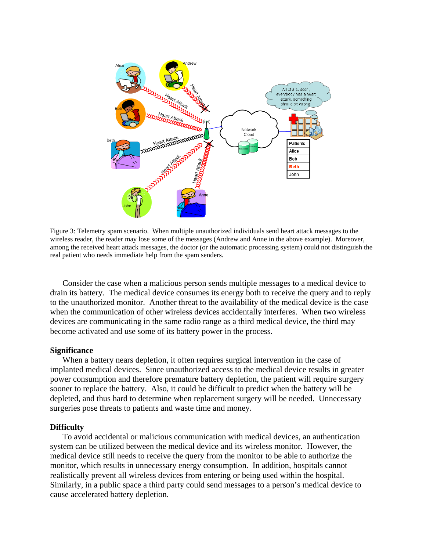

Figure 3: Telemetry spam scenario. When multiple unauthorized individuals send heart attack messages to the wireless reader, the reader may lose some of the messages (Andrew and Anne in the above example). Moreover, among the received heart attack messages, the doctor (or the automatic processing system) could not distinguish the real patient who needs immediate help from the spam senders.

Consider the case when a malicious person sends multiple messages to a medical device to drain its battery. The medical device consumes its energy both to receive the query and to reply to the unauthorized monitor. Another threat to the availability of the medical device is the case when the communication of other wireless devices accidentally interferes. When two wireless devices are communicating in the same radio range as a third medical device, the third may become activated and use some of its battery power in the process.

#### **Significance**

When a battery nears depletion, it often requires surgical intervention in the case of implanted medical devices. Since unauthorized access to the medical device results in greater power consumption and therefore premature battery depletion, the patient will require surgery sooner to replace the battery. Also, it could be difficult to predict when the battery will be depleted, and thus hard to determine when replacement surgery will be needed. Unnecessary surgeries pose threats to patients and waste time and money.

#### **Difficulty**

To avoid accidental or malicious communication with medical devices, an authentication system can be utilized between the medical device and its wireless monitor. However, the medical device still needs to receive the query from the monitor to be able to authorize the monitor, which results in unnecessary energy consumption. In addition, hospitals cannot realistically prevent all wireless devices from entering or being used within the hospital. Similarly, in a public space a third party could send messages to a person's medical device to cause accelerated battery depletion.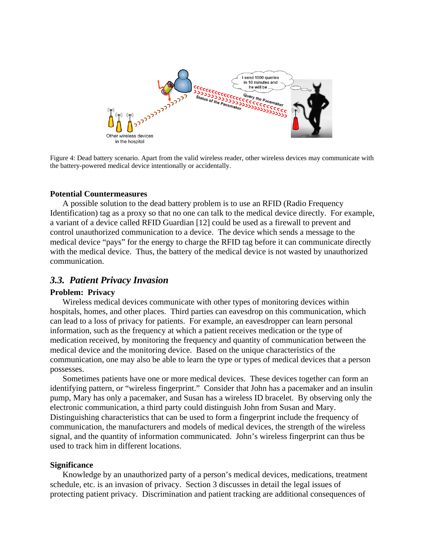

Figure 4: Dead battery scenario. Apart from the valid wireless reader, other wireless devices may communicate with the battery-powered medical device intentionally or accidentally.

#### **Potential Countermeasures**

A possible solution to the dead battery problem is to use an RFID (Radio Frequency Identification) tag as a proxy so that no one can talk to the medical device directly. For example, a variant of a device called RFID Guardian [12] could be used as a firewall to prevent and control unauthorized communication to a device. The device which sends a message to the medical device "pays" for the energy to charge the RFID tag before it can communicate directly with the medical device. Thus, the battery of the medical device is not wasted by unauthorized communication.

#### *3.3. Patient Privacy Invasion*

#### **Problem: Privacy**

Wireless medical devices communicate with other types of monitoring devices within hospitals, homes, and other places. Third parties can eavesdrop on this communication, which can lead to a loss of privacy for patients. For example, an eavesdropper can learn personal information, such as the frequency at which a patient receives medication or the type of medication received, by monitoring the frequency and quantity of communication between the medical device and the monitoring device. Based on the unique characteristics of the communication, one may also be able to learn the type or types of medical devices that a person possesses.

Sometimes patients have one or more medical devices. These devices together can form an identifying pattern, or "wireless fingerprint." Consider that John has a pacemaker and an insulin pump, Mary has only a pacemaker, and Susan has a wireless ID bracelet. By observing only the electronic communication, a third party could distinguish John from Susan and Mary. Distinguishing characteristics that can be used to form a fingerprint include the frequency of communication, the manufacturers and models of medical devices, the strength of the wireless signal, and the quantity of information communicated. John's wireless fingerprint can thus be used to track him in different locations.

#### **Significance**

Knowledge by an unauthorized party of a person's medical devices, medications, treatment schedule, etc. is an invasion of privacy. Section 3 discusses in detail the legal issues of protecting patient privacy. Discrimination and patient tracking are additional consequences of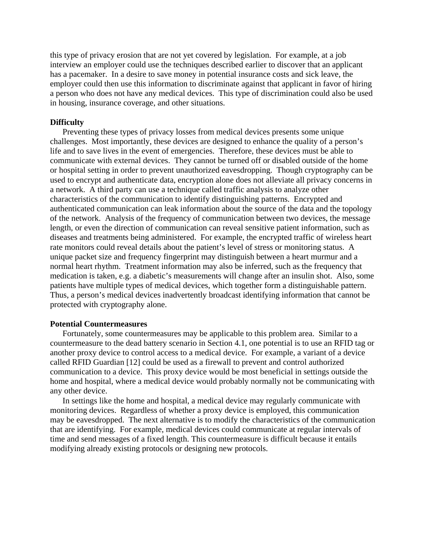this type of privacy erosion that are not yet covered by legislation. For example, at a job interview an employer could use the techniques described earlier to discover that an applicant has a pacemaker. In a desire to save money in potential insurance costs and sick leave, the employer could then use this information to discriminate against that applicant in favor of hiring a person who does not have any medical devices. This type of discrimination could also be used in housing, insurance coverage, and other situations.

#### **Difficulty**

Preventing these types of privacy losses from medical devices presents some unique challenges. Most importantly, these devices are designed to enhance the quality of a person's life and to save lives in the event of emergencies. Therefore, these devices must be able to communicate with external devices. They cannot be turned off or disabled outside of the home or hospital setting in order to prevent unauthorized eavesdropping. Though cryptography can be used to encrypt and authenticate data, encryption alone does not alleviate all privacy concerns in a network. A third party can use a technique called traffic analysis to analyze other characteristics of the communication to identify distinguishing patterns. Encrypted and authenticated communication can leak information about the source of the data and the topology of the network. Analysis of the frequency of communication between two devices, the message length, or even the direction of communication can reveal sensitive patient information, such as diseases and treatments being administered. For example, the encrypted traffic of wireless heart rate monitors could reveal details about the patient's level of stress or monitoring status. A unique packet size and frequency fingerprint may distinguish between a heart murmur and a normal heart rhythm. Treatment information may also be inferred, such as the frequency that medication is taken, e.g. a diabetic's measurements will change after an insulin shot. Also, some patients have multiple types of medical devices, which together form a distinguishable pattern. Thus, a person's medical devices inadvertently broadcast identifying information that cannot be protected with cryptography alone.

#### **Potential Countermeasures**

Fortunately, some countermeasures may be applicable to this problem area. Similar to a countermeasure to the dead battery scenario in Section 4.1, one potential is to use an RFID tag or another proxy device to control access to a medical device. For example, a variant of a device called RFID Guardian [12] could be used as a firewall to prevent and control authorized communication to a device. This proxy device would be most beneficial in settings outside the home and hospital, where a medical device would probably normally not be communicating with any other device.

In settings like the home and hospital, a medical device may regularly communicate with monitoring devices. Regardless of whether a proxy device is employed, this communication may be eavesdropped. The next alternative is to modify the characteristics of the communication that are identifying. For example, medical devices could communicate at regular intervals of time and send messages of a fixed length. This countermeasure is difficult because it entails modifying already existing protocols or designing new protocols.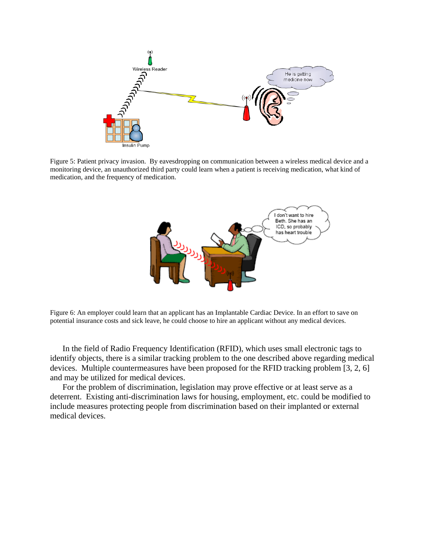

Figure 5: Patient privacy invasion. By eavesdropping on communication between a wireless medical device and a monitoring device, an unauthorized third party could learn when a patient is receiving medication, what kind of medication, and the frequency of medication.



Figure 6: An employer could learn that an applicant has an Implantable Cardiac Device. In an effort to save on potential insurance costs and sick leave, he could choose to hire an applicant without any medical devices.

In the field of Radio Frequency Identification (RFID), which uses small electronic tags to identify objects, there is a similar tracking problem to the one described above regarding medical devices. Multiple countermeasures have been proposed for the RFID tracking problem [3, 2, 6] and may be utilized for medical devices.

For the problem of discrimination, legislation may prove effective or at least serve as a deterrent. Existing anti-discrimination laws for housing, employment, etc. could be modified to include measures protecting people from discrimination based on their implanted or external medical devices.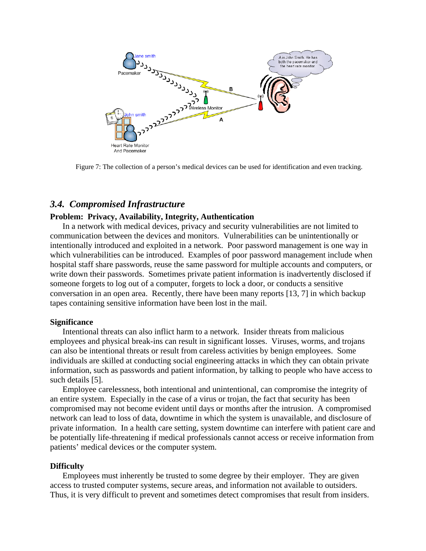

Figure 7: The collection of a person's medical devices can be used for identification and even tracking.

#### *3.4. Compromised Infrastructure*

#### **Problem: Privacy, Availability, Integrity, Authentication**

In a network with medical devices, privacy and security vulnerabilities are not limited to communication between the devices and monitors. Vulnerabilities can be unintentionally or intentionally introduced and exploited in a network. Poor password management is one way in which vulnerabilities can be introduced. Examples of poor password management include when hospital staff share passwords, reuse the same password for multiple accounts and computers, or write down their passwords. Sometimes private patient information is inadvertently disclosed if someone forgets to log out of a computer, forgets to lock a door, or conducts a sensitive conversation in an open area. Recently, there have been many reports [13, 7] in which backup tapes containing sensitive information have been lost in the mail.

#### **Significance**

Intentional threats can also inflict harm to a network. Insider threats from malicious employees and physical break-ins can result in significant losses. Viruses, worms, and trojans can also be intentional threats or result from careless activities by benign employees. Some individuals are skilled at conducting social engineering attacks in which they can obtain private information, such as passwords and patient information, by talking to people who have access to such details [5].

Employee carelessness, both intentional and unintentional, can compromise the integrity of an entire system. Especially in the case of a virus or trojan, the fact that security has been compromised may not become evident until days or months after the intrusion. A compromised network can lead to loss of data, downtime in which the system is unavailable, and disclosure of private information. In a health care setting, system downtime can interfere with patient care and be potentially life-threatening if medical professionals cannot access or receive information from patients' medical devices or the computer system.

#### **Difficulty**

Employees must inherently be trusted to some degree by their employer. They are given access to trusted computer systems, secure areas, and information not available to outsiders. Thus, it is very difficult to prevent and sometimes detect compromises that result from insiders.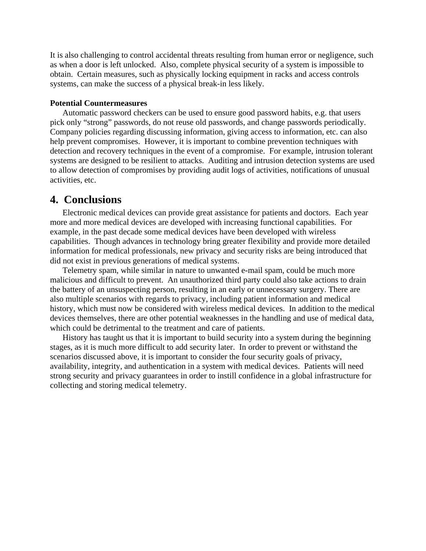It is also challenging to control accidental threats resulting from human error or negligence, such as when a door is left unlocked. Also, complete physical security of a system is impossible to obtain. Certain measures, such as physically locking equipment in racks and access controls systems, can make the success of a physical break-in less likely.

#### **Potential Countermeasures**

Automatic password checkers can be used to ensure good password habits, e.g. that users pick only "strong" passwords, do not reuse old passwords, and change passwords periodically. Company policies regarding discussing information, giving access to information, etc. can also help prevent compromises. However, it is important to combine prevention techniques with detection and recovery techniques in the event of a compromise. For example, intrusion tolerant systems are designed to be resilient to attacks. Auditing and intrusion detection systems are used to allow detection of compromises by providing audit logs of activities, notifications of unusual activities, etc.

## **4. Conclusions**

Electronic medical devices can provide great assistance for patients and doctors. Each year more and more medical devices are developed with increasing functional capabilities. For example, in the past decade some medical devices have been developed with wireless capabilities. Though advances in technology bring greater flexibility and provide more detailed information for medical professionals, new privacy and security risks are being introduced that did not exist in previous generations of medical systems.

Telemetry spam, while similar in nature to unwanted e-mail spam, could be much more malicious and difficult to prevent. An unauthorized third party could also take actions to drain the battery of an unsuspecting person, resulting in an early or unnecessary surgery. There are also multiple scenarios with regards to privacy, including patient information and medical history, which must now be considered with wireless medical devices. In addition to the medical devices themselves, there are other potential weaknesses in the handling and use of medical data, which could be detrimental to the treatment and care of patients.

History has taught us that it is important to build security into a system during the beginning stages, as it is much more difficult to add security later. In order to prevent or withstand the scenarios discussed above, it is important to consider the four security goals of privacy, availability, integrity, and authentication in a system with medical devices. Patients will need strong security and privacy guarantees in order to instill confidence in a global infrastructure for collecting and storing medical telemetry.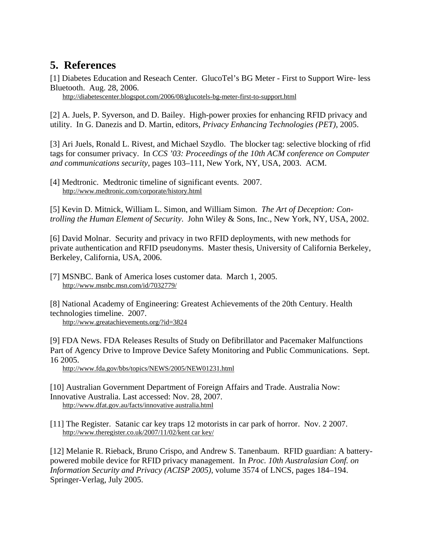## **5. References**

[1] Diabetes Education and Reseach Center. GlucoTel's BG Meter - First to Support Wire- less Bluetooth. Aug. 28, 2006.

http://diabetescenter.blogspot.com/2006/08/glucotels-bg-meter-first-to-support.html

[2] A. Juels, P. Syverson, and D. Bailey. High-power proxies for enhancing RFID privacy and utility. In G. Danezis and D. Martin, editors, *Privacy Enhancing Technologies (PET)*, 2005.

[3] Ari Juels, Ronald L. Rivest, and Michael Szydlo. The blocker tag: selective blocking of rfid tags for consumer privacy. In *CCS '03: Proceedings of the 10th ACM conference on Computer and communications security*, pages 103–111, New York, NY, USA, 2003. ACM.

[4] Medtronic. Medtronic timeline of significant events. 2007. http://www.medtronic.com/corporate/history.html

[5] Kevin D. Mitnick, William L. Simon, and William Simon. *The Art of Deception: Controlling the Human Element of Security*. John Wiley & Sons, Inc., New York, NY, USA, 2002.

[6] David Molnar. Security and privacy in two RFID deployments, with new methods for private authentication and RFID pseudonyms. Master thesis, University of California Berkeley, Berkeley, California, USA, 2006.

[7] MSNBC. Bank of America loses customer data. March 1, 2005. http://www.msnbc.msn.com/id/7032779/

[8] National Academy of Engineering: Greatest Achievements of the 20th Century. Health technologies timeline. 2007.

http://www.greatachievements.org/?id=3824

[9] FDA News. FDA Releases Results of Study on Defibrillator and Pacemaker Malfunctions Part of Agency Drive to Improve Device Safety Monitoring and Public Communications. Sept. 16 2005.

http://www.fda.gov/bbs/topics/NEWS/2005/NEW01231.html

[10] Australian Government Department of Foreign Affairs and Trade. Australia Now: Innovative Australia. Last accessed: Nov. 28, 2007. http://www.dfat.gov.au/facts/innovative australia.html

[11] The Register. Satanic car key traps 12 motorists in car park of horror. Nov. 2 2007. http://www.theregister.co.uk/2007/11/02/kent car key/

[12] Melanie R. Rieback, Bruno Crispo, and Andrew S. Tanenbaum. RFID guardian: A batterypowered mobile device for RFID privacy management. In *Proc. 10th Australasian Conf. on Information Security and Privacy (ACISP 2005)*, volume 3574 of LNCS, pages 184–194. Springer-Verlag, July 2005.